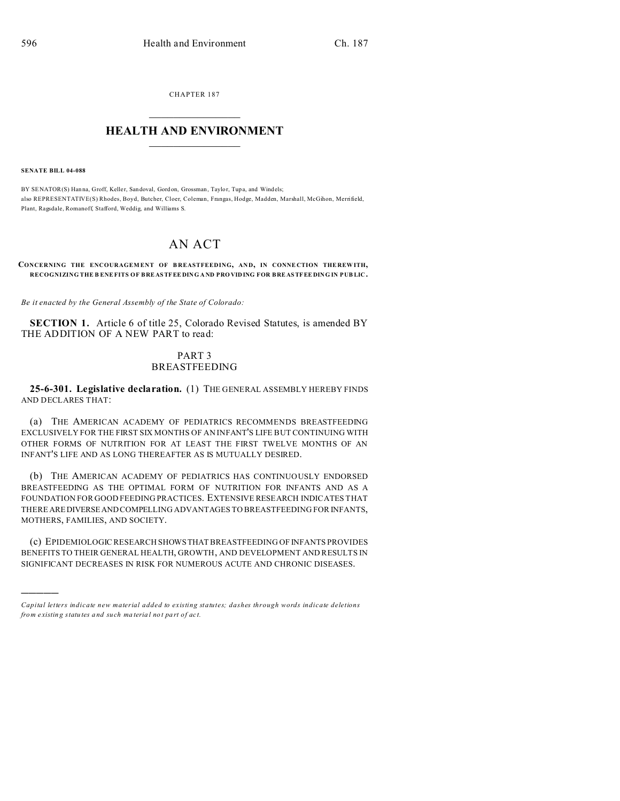CHAPTER 187  $\overline{\phantom{a}}$  , where  $\overline{\phantom{a}}$ 

## **HEALTH AND ENVIRONMENT**  $\_$   $\_$   $\_$   $\_$   $\_$   $\_$   $\_$   $\_$

**SENATE BILL 04-088**

)))))

BY SENATOR(S) Hanna, Groff, Keller, Sandoval, Gordon, Grossman, Taylor, Tupa, and Windels; also REPRESENTATIVE(S) Rhodes, Boyd, Butcher, Cloer, Coleman, Frangas, Hodge, Madden, Marshall, McGihon, Merrifield, Plant, Ragsdale, Romanoff, Stafford, Weddig, and Williams S.

## AN ACT

## **CONCERNING THE ENCOURAGEMENT OF BREASTFEEDING, AND, IN CONNECTION THEREWITH, RECOGNIZING THE B ENEFITS OF BRE ASTFEE DING A ND PRO VIDING FOR BRE ASTFEE DING IN PUB LIC.**

*Be it enacted by the General Assembly of the State of Colorado:*

**SECTION 1.** Article 6 of title 25, Colorado Revised Statutes, is amended BY THE ADDITION OF A NEW PART to read:

## PART 3 BREASTFEEDING

**25-6-301. Legislative declaration.** (1) THE GENERAL ASSEMBLY HEREBY FINDS AND DECLARES THAT:

(a) THE AMERICAN ACADEMY OF PEDIATRICS RECOMMENDS BREASTFEEDING EXCLUSIVELY FOR THE FIRST SIX MONTHS OF AN INFANT'S LIFE BUT CONTINUING WITH OTHER FORMS OF NUTRITION FOR AT LEAST THE FIRST TWELVE MONTHS OF AN INFANT'S LIFE AND AS LONG THEREAFTER AS IS MUTUALLY DESIRED.

(b) THE AMERICAN ACADEMY OF PEDIATRICS HAS CONTINUOUSLY ENDORSED BREASTFEEDING AS THE OPTIMAL FORM OF NUTRITION FOR INFANTS AND AS A FOUNDATION FOR GOOD FEEDING PRACTICES. EXTENSIVE RESEARCH INDICATES THAT THERE AREDIVERSEANDCOMPELLING ADVANTAGES TO BREASTFEEDING FOR INFANTS, MOTHERS, FAMILIES, AND SOCIETY.

(c) EPIDEMIOLOGIC RESEARCH SHOWSTHAT BREASTFEEDING OF INFANTS PROVIDES BENEFITS TO THEIR GENERAL HEALTH, GROWTH, AND DEVELOPMENT AND RESULTS IN SIGNIFICANT DECREASES IN RISK FOR NUMEROUS ACUTE AND CHRONIC DISEASES.

*Capital letters indicate new material added to existing statutes; dashes through words indicate deletions from e xistin g statu tes a nd such ma teria l no t pa rt of ac t.*